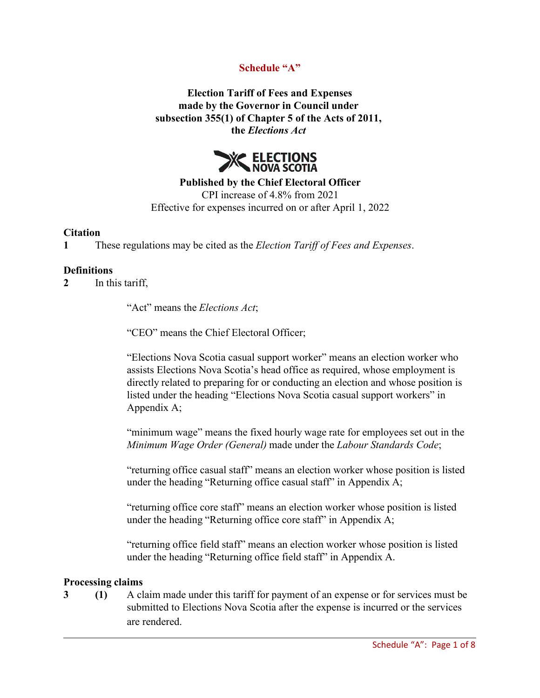# **Schedule "A"**

**Election Tariff of Fees and Expenses made by the Governor in Council under subsection 355(1) of Chapter 5 of the Acts of 2011, the** *Elections Act*



**Published by the Chief Electoral Officer** CPI increase of 4.8% from 2021

Effective for expenses incurred on or after April 1, 2022

#### **Citation**

**1** These regulations may be cited as the *Election Tariff of Fees and Expenses*.

#### **Definitions**

**2** In this tariff,

"Act" means the *Elections Act*;

"CEO" means the Chief Electoral Officer;

"Elections Nova Scotia casual support worker" means an election worker who assists Elections Nova Scotia's head office as required, whose employment is directly related to preparing for or conducting an election and whose position is listed under the heading "Elections Nova Scotia casual support workers" in Appendix A;

"minimum wage" means the fixed hourly wage rate for employees set out in the *Minimum Wage Order (General)* made under the *Labour Standards Code*;

"returning office casual staff" means an election worker whose position is listed under the heading "Returning office casual staff" in Appendix A;

"returning office core staff" means an election worker whose position is listed under the heading "Returning office core staff" in Appendix A;

"returning office field staff" means an election worker whose position is listed under the heading "Returning office field staff" in Appendix A.

#### **Processing claims**

**3 (1)** A claim made under this tariff for payment of an expense or for services must be submitted to Elections Nova Scotia after the expense is incurred or the services are rendered.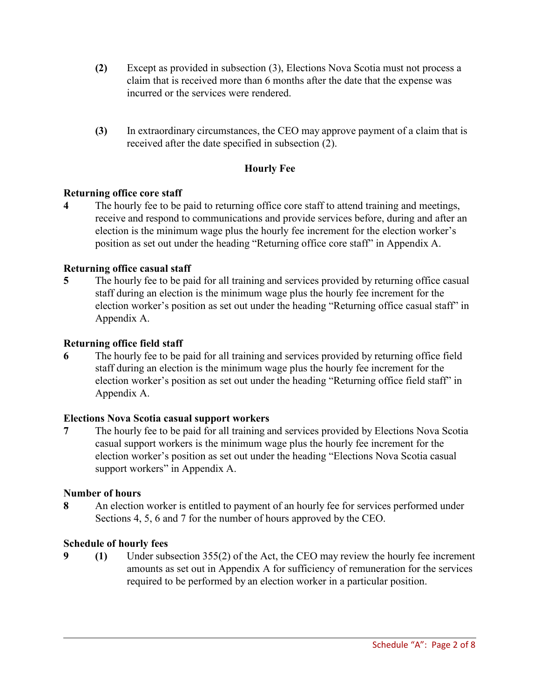- **(2)** Except as provided in subsection (3), Elections Nova Scotia must not process a claim that is received more than 6 months after the date that the expense was incurred or the services were rendered.
- **(3)** In extraordinary circumstances, the CEO may approve payment of a claim that is received after the date specified in subsection (2).

# **Hourly Fee**

# **Returning office core staff**

**4** The hourly fee to be paid to returning office core staff to attend training and meetings, receive and respond to communications and provide services before, during and after an election is the minimum wage plus the hourly fee increment for the election worker's position as set out under the heading "Returning office core staff" in Appendix A.

# **Returning office casual staff**

**5** The hourly fee to be paid for all training and services provided by returning office casual staff during an election is the minimum wage plus the hourly fee increment for the election worker's position as set out under the heading "Returning office casual staff" in Appendix A.

### **Returning office field staff**

**6** The hourly fee to be paid for all training and services provided by returning office field staff during an election is the minimum wage plus the hourly fee increment for the election worker's position as set out under the heading "Returning office field staff" in Appendix A.

### **Elections Nova Scotia casual support workers**

**7** The hourly fee to be paid for all training and services provided by Elections Nova Scotia casual support workers is the minimum wage plus the hourly fee increment for the election worker's position as set out under the heading "Elections Nova Scotia casual support workers" in Appendix A.

### **Number of hours**

**8** An election worker is entitled to payment of an hourly fee for services performed under Sections 4, 5, 6 and 7 for the number of hours approved by the CEO.

### **Schedule of hourly fees**

**9 (1)** Under subsection 355(2) of the Act, the CEO may review the hourly fee increment amounts as set out in Appendix A for sufficiency of remuneration for the services required to be performed by an election worker in a particular position.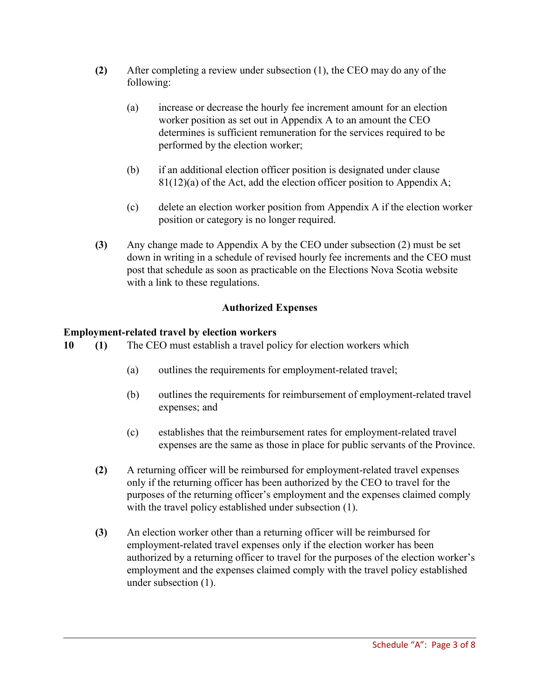- **(2)** After completing a review under subsection (1), the CEO may do any of the following:
	- (a) increase or decrease the hourly fee increment amount for an election worker position as set out in Appendix A to an amount the CEO determines is sufficient remuneration for the services required to be performed by the election worker;
	- (b) if an additional election officer position is designated under clause  $81(12)(a)$  of the Act, add the election officer position to Appendix A;
	- (c) delete an election worker position from Appendix A if the election worker position or category is no longer required.
- **(3)** Any change made to Appendix A by the CEO under subsection (2) must be set down in writing in a schedule of revised hourly fee increments and the CEO must post that schedule as soon as practicable on the Elections Nova Scotia website with a link to these regulations.

# **Authorized Expenses**

### **Employment-related travel by election workers**

- **10 (1)** The CEO must establish a travel policy for election workers which
	- (a) outlines the requirements for employment-related travel;
	- (b) outlines the requirements for reimbursement of employment-related travel expenses; and
	- (c) establishes that the reimbursement rates for employment-related travel expenses are the same as those in place for public servants of the Province.
	- **(2)** A returning officer will be reimbursed for employment-related travel expenses only if the returning officer has been authorized by the CEO to travel for the purposes of the returning officer's employment and the expenses claimed comply with the travel policy established under subsection (1).
	- **(3)** An election worker other than a returning officer will be reimbursed for employment-related travel expenses only if the election worker has been authorized by a returning officer to travel for the purposes of the election worker's employment and the expenses claimed comply with the travel policy established under subsection (1).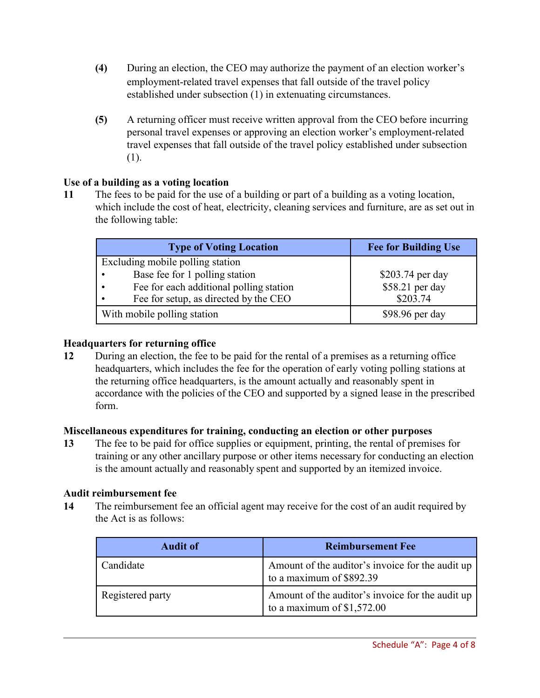- **(4)** During an election, the CEO may authorize the payment of an election worker's employment-related travel expenses that fall outside of the travel policy established under subsection (1) in extenuating circumstances.
- **(5)** A returning officer must receive written approval from the CEO before incurring personal travel expenses or approving an election worker's employment-related travel expenses that fall outside of the travel policy established under subsection (1).

# **Use of a building as a voting location**

**11** The fees to be paid for the use of a building or part of a building as a voting location, which include the cost of heat, electricity, cleaning services and furniture, are as set out in the following table:

| <b>Type of Voting Location</b>          | <b>Fee for Building Use</b> |
|-----------------------------------------|-----------------------------|
| Excluding mobile polling station        |                             |
| Base fee for 1 polling station          | \$203.74 per day            |
| Fee for each additional polling station | \$58.21 per day             |
| Fee for setup, as directed by the CEO   | \$203.74                    |
| With mobile polling station             | $$98.96$ per day            |

# **Headquarters for returning office**

**12** During an election, the fee to be paid for the rental of a premises as a returning office headquarters, which includes the fee for the operation of early voting polling stations at the returning office headquarters, is the amount actually and reasonably spent in accordance with the policies of the CEO and supported by a signed lease in the prescribed form.

# **Miscellaneous expenditures for training, conducting an election or other purposes**

**13** The fee to be paid for office supplies or equipment, printing, the rental of premises for training or any other ancillary purpose or other items necessary for conducting an election is the amount actually and reasonably spent and supported by an itemized invoice.

### **Audit reimbursement fee**

**14** The reimbursement fee an official agent may receive for the cost of an audit required by the Act is as follows:

| <b>Audit of</b>  | <b>Reimbursement Fee</b>                                                        |
|------------------|---------------------------------------------------------------------------------|
| Candidate        | Amount of the auditor's invoice for the audit up<br>to a maximum of \$892.39    |
| Registered party | Amount of the auditor's invoice for the audit up<br>to a maximum of $$1,572.00$ |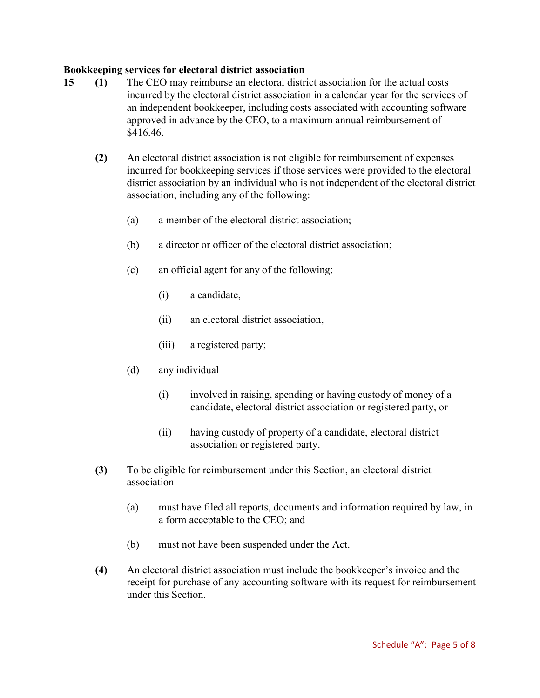# **Bookkeeping services for electoral district association**

- **15 (1)** The CEO may reimburse an electoral district association for the actual costs incurred by the electoral district association in a calendar year for the services of an independent bookkeeper, including costs associated with accounting software approved in advance by the CEO, to a maximum annual reimbursement of \$416.46.
	- **(2)** An electoral district association is not eligible for reimbursement of expenses incurred for bookkeeping services if those services were provided to the electoral district association by an individual who is not independent of the electoral district association, including any of the following:
		- (a) a member of the electoral district association;
		- (b) a director or officer of the electoral district association;
		- (c) an official agent for any of the following:
			- (i) a candidate,
			- (ii) an electoral district association,
			- (iii) a registered party;
		- (d) any individual
			- (i) involved in raising, spending or having custody of money of a candidate, electoral district association or registered party, or
			- (ii) having custody of property of a candidate, electoral district association or registered party.
	- **(3)** To be eligible for reimbursement under this Section, an electoral district association
		- (a) must have filed all reports, documents and information required by law, in a form acceptable to the CEO; and
		- (b) must not have been suspended under the Act.
	- **(4)** An electoral district association must include the bookkeeper's invoice and the receipt for purchase of any accounting software with its request for reimbursement under this Section.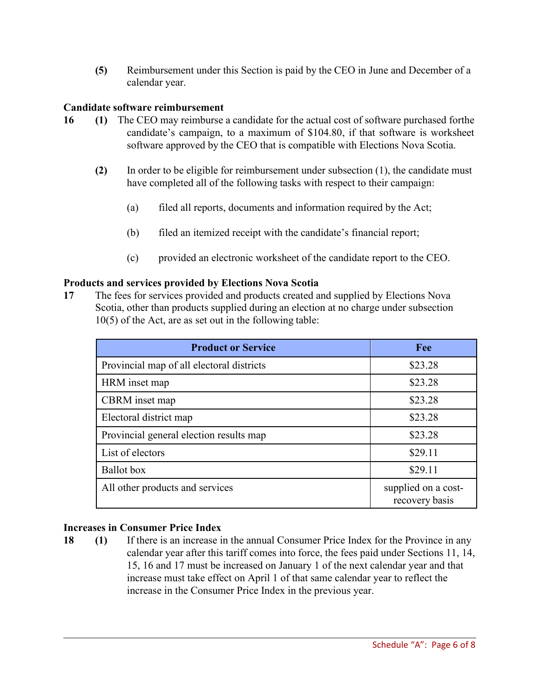**(5)** Reimbursement under this Section is paid by the CEO in June and December of a calendar year.

## **Candidate software reimbursement**

- **16 (1)** The CEO may reimburse a candidate for the actual cost of software purchased forthe candidate's campaign, to a maximum of \$104.80, if that software is worksheet software approved by the CEO that is compatible with Elections Nova Scotia.
	- **(2)** In order to be eligible for reimbursement under subsection (1), the candidate must have completed all of the following tasks with respect to their campaign:
		- (a) filed all reports, documents and information required by the Act;
		- (b) filed an itemized receipt with the candidate's financial report;
		- (c) provided an electronic worksheet of the candidate report to the CEO.

### **Products and services provided by Elections Nova Scotia**

**17** The fees for services provided and products created and supplied by Elections Nova Scotia, other than products supplied during an election at no charge under subsection 10(5) of the Act, are as set out in the following table:

| <b>Product or Service</b>                 | Fee                                   |
|-------------------------------------------|---------------------------------------|
| Provincial map of all electoral districts | \$23.28                               |
| HRM inset map                             | \$23.28                               |
| CBRM inset map                            | \$23.28                               |
| Electoral district map                    | \$23.28                               |
| Provincial general election results map   | \$23.28                               |
| List of electors                          | \$29.11                               |
| <b>Ballot</b> box                         | \$29.11                               |
| All other products and services           | supplied on a cost-<br>recovery basis |

### **Increases in Consumer Price Index**

**18 (1)** If there is an increase in the annual Consumer Price Index for the Province in any calendar year after this tariff comes into force, the fees paid under Sections 11, 14, 15, 16 and 17 must be increased on January 1 of the next calendar year and that increase must take effect on April 1 of that same calendar year to reflect the increase in the Consumer Price Index in the previous year.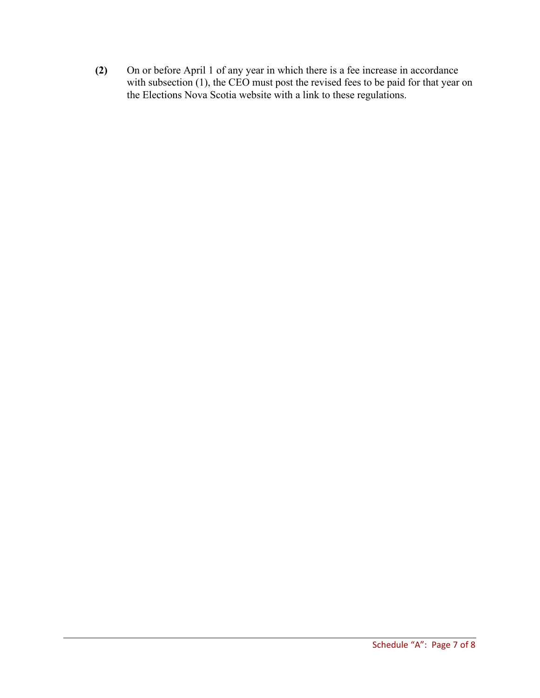**(2)** On or before April 1 of any year in which there is a fee increase in accordance with subsection (1), the CEO must post the revised fees to be paid for that year on the Elections Nova Scotia website with a link to these regulations.